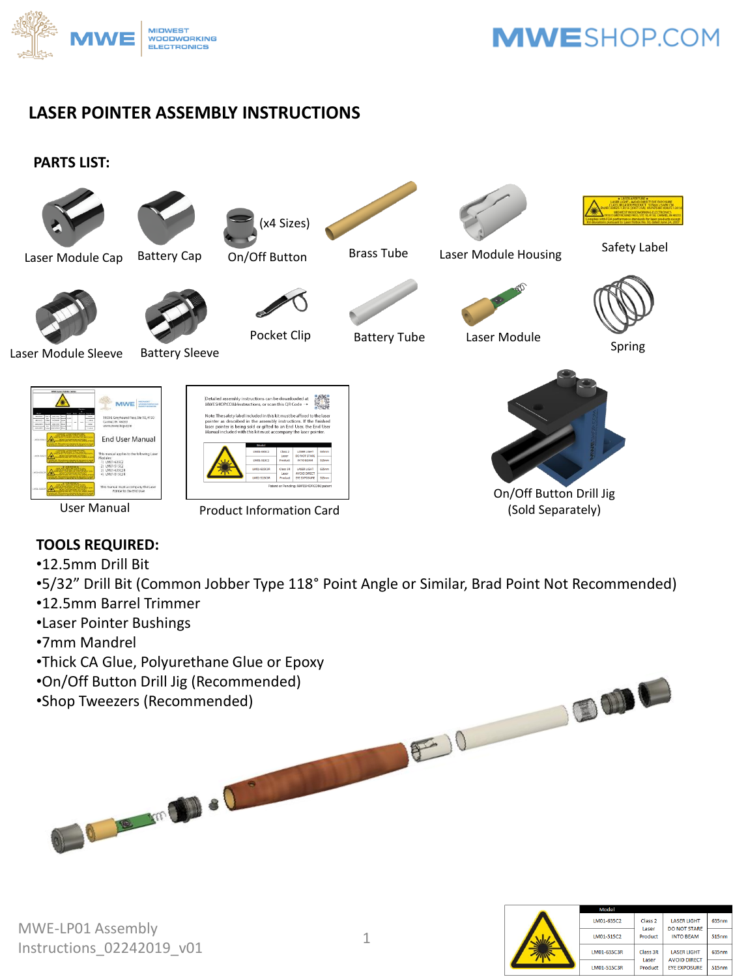

### **LASER POINTER ASSEMBLY INSTRUCTIONS**

#### **PARTS LIST:**



### **TOOLS REQUIRED:**

- •12.5mm Drill Bit
- •5/32" Drill Bit (Common Jobber Type 118° Point Angle or Similar, Brad Point Not Recommended)
- •12.5mm Barrel Trimmer
- •Laser Pointer Bushings
- •7mm Mandrel
- •Thick CA Glue, Polyurethane Glue or Epoxy

0 10 m 10 0 0

- •On/Off Button Drill Jig (Recommended)
- •Shop Tweezers (Recommended)

**BODO** 

 $F0$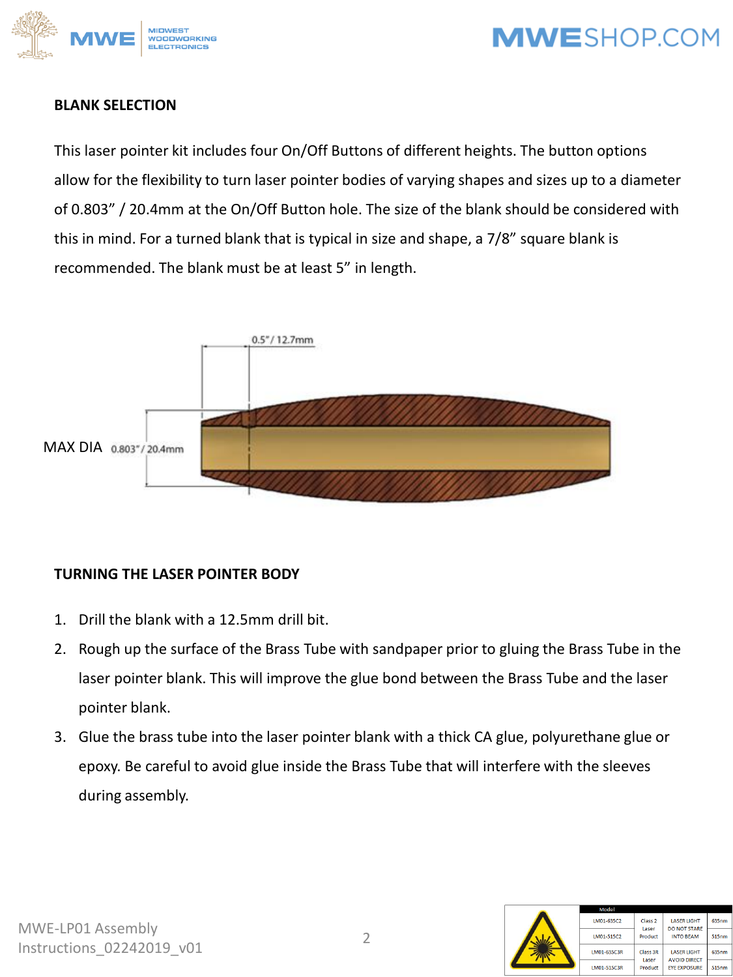



#### **BLANK SELECTION**

This laser pointer kit includes four On/Off Buttons of different heights. The button options allow for the flexibility to turn laser pointer bodies of varying shapes and sizes up to a diameter of 0.803" / 20.4mm at the On/Off Button hole. The size of the blank should be considered with this in mind. For a turned blank that is typical in size and shape, a 7/8" square blank is recommended. The blank must be at least 5" in length.



### **TURNING THE LASER POINTER BODY**

- 1. Drill the blank with a 12.5mm drill bit.
- 2. Rough up the surface of the Brass Tube with sandpaper prior to gluing the Brass Tube in the laser pointer blank. This will improve the glue bond between the Brass Tube and the laser pointer blank.
- 3. Glue the brass tube into the laser pointer blank with a thick CA glue, polyurethane glue or epoxy. Be careful to avoid glue inside the Brass Tube that will interfere with the sleeves during assembly.

|  | Model       |                             |                                           |       |
|--|-------------|-----------------------------|-------------------------------------------|-------|
|  | LM01-635C2  | Class <sub>2</sub><br>Laser | <b>LASER LIGHT</b><br><b>DO NOT STARE</b> | 635nm |
|  | LM01-515C2  | Product                     | <b>INTO BEAM</b>                          | 515nm |
|  | LM01-635C3R | Class 3R<br>Laser           | <b>LASER LIGHT</b><br><b>AVOID DIRECT</b> | 635nm |
|  | LM01-515C3R | Product                     | <b>EYE EXPOSURE</b>                       | 515nm |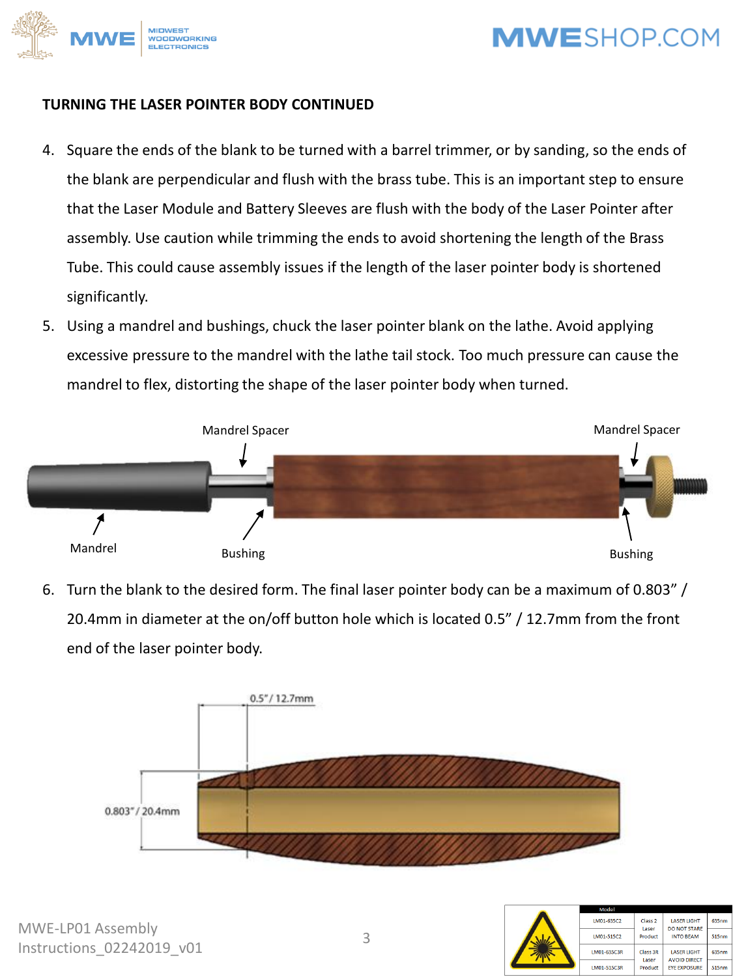

#### **TURNING THE LASER POINTER BODY CONTINUED**

- 4. Square the ends of the blank to be turned with a barrel trimmer, or by sanding, so the ends of the blank are perpendicular and flush with the brass tube. This is an important step to ensure that the Laser Module and Battery Sleeves are flush with the body of the Laser Pointer after assembly. Use caution while trimming the ends to avoid shortening the length of the Brass Tube. This could cause assembly issues if the length of the laser pointer body is shortened significantly.
- 5. Using a mandrel and bushings, chuck the laser pointer blank on the lathe. Avoid applying excessive pressure to the mandrel with the lathe tail stock. Too much pressure can cause the mandrel to flex, distorting the shape of the laser pointer body when turned.



6. Turn the blank to the desired form. The final laser pointer body can be a maximum of 0.803" / 20.4mm in diameter at the on/off button hole which is located 0.5" / 12.7mm from the front end of the laser pointer body.



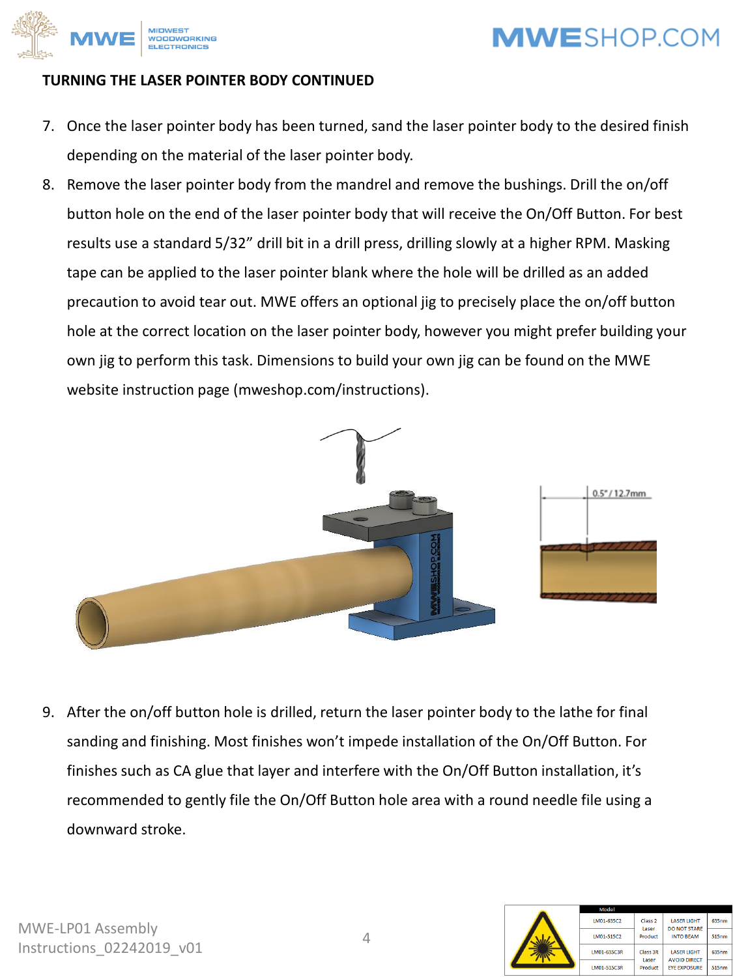

#### **TURNING THE LASER POINTER BODY CONTINUED**

- 7. Once the laser pointer body has been turned, sand the laser pointer body to the desired finish depending on the material of the laser pointer body.
- 8. Remove the laser pointer body from the mandrel and remove the bushings. Drill the on/off button hole on the end of the laser pointer body that will receive the On/Off Button. For best results use a standard 5/32" drill bit in a drill press, drilling slowly at a higher RPM. Masking tape can be applied to the laser pointer blank where the hole will be drilled as an added precaution to avoid tear out. MWE offers an optional jig to precisely place the on/off button hole at the correct location on the laser pointer body, however you might prefer building your own jig to perform this task. Dimensions to build your own jig can be found on the MWE website instruction page (mweshop.com/instructions).



9. After the on/off button hole is drilled, return the laser pointer body to the lathe for final sanding and finishing. Most finishes won't impede installation of the On/Off Button. For finishes such as CA glue that layer and interfere with the On/Off Button installation, it's recommended to gently file the On/Off Button hole area with a round needle file using a downward stroke.

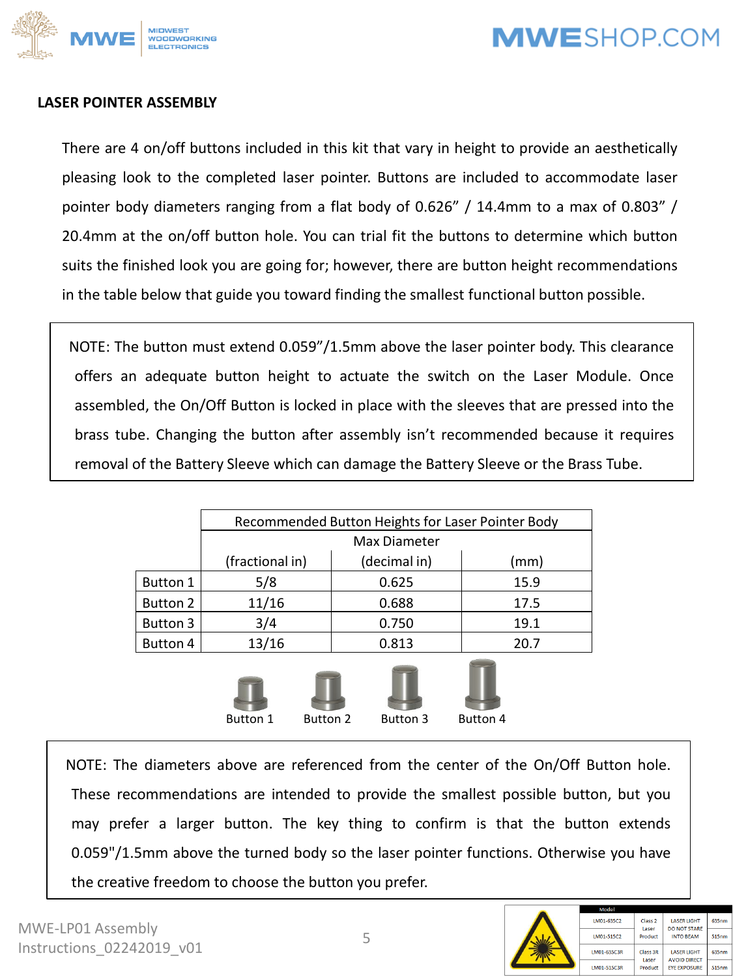

#### **LASER POINTER ASSEMBLY**

There are 4 on/off buttons included in this kit that vary in height to provide an aesthetically pleasing look to the completed laser pointer. Buttons are included to accommodate laser pointer body diameters ranging from a flat body of 0.626" / 14.4mm to a max of 0.803" / 20.4mm at the on/off button hole. You can trial fit the buttons to determine which button suits the finished look you are going for; however, there are button height recommendations in the table below that guide you toward finding the smallest functional button possible.

NOTE: The button must extend 0.059"/1.5mm above the laser pointer body. This clearance offers an adequate button height to actuate the switch on the Laser Module. Once assembled, the On/Off Button is locked in place with the sleeves that are pressed into the brass tube. Changing the button after assembly isn't recommended because it requires removal of the Battery Sleeve which can damage the Battery Sleeve or the Brass Tube.

|                                                                   | Recommended Button Heights for Laser Pointer Body |              |      |  |  |
|-------------------------------------------------------------------|---------------------------------------------------|--------------|------|--|--|
|                                                                   | Max Diameter                                      |              |      |  |  |
|                                                                   | (fractional in)                                   | (decimal in) | (mm) |  |  |
| <b>Button 1</b>                                                   | 5/8                                               | 0.625        | 15.9 |  |  |
| Button 2                                                          | 11/16                                             | 0.688        | 17.5 |  |  |
| Button 3                                                          | 3/4                                               | 0.750        | 19.1 |  |  |
| Button 4                                                          | 13/16                                             | 0.813        | 20.7 |  |  |
| <b>Button 1</b><br><b>Button 2</b><br>Button 3<br><b>Button 4</b> |                                                   |              |      |  |  |

NOTE: The diameters above are referenced from the center of the On/Off Button hole. These recommendations are intended to provide the smallest possible button, but you may prefer a larger button. The key thing to confirm is that the button extends 0.059"/1.5mm above the turned body so the laser pointer functions. Otherwise you have the creative freedom to choose the button you prefer.

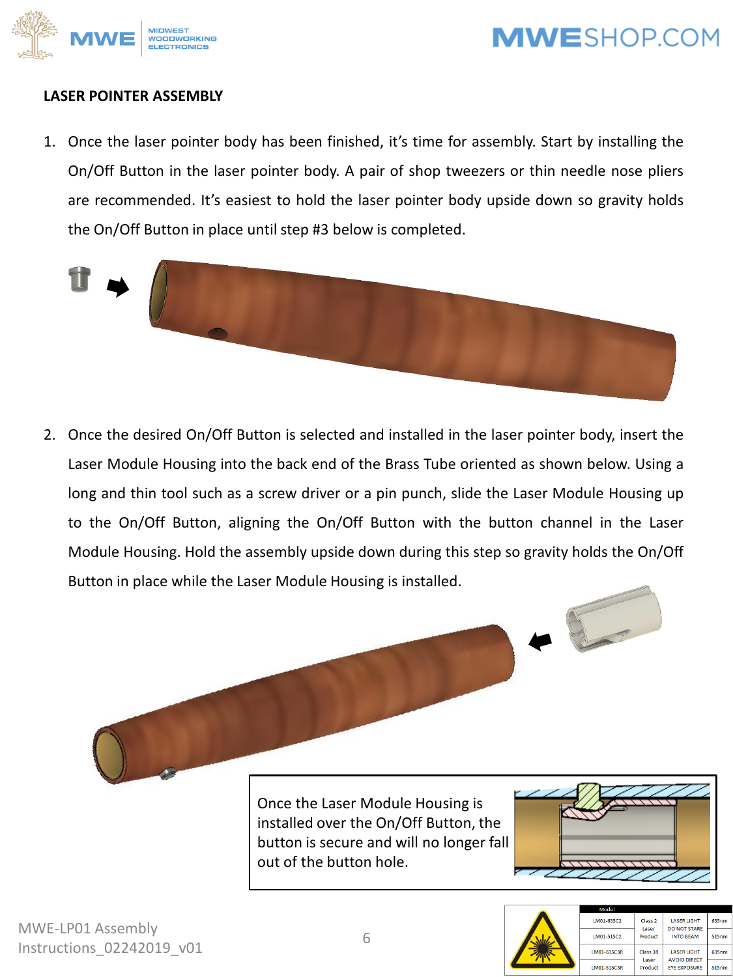

#### **LASER POINTER ASSEMBLY**

1. Once the laser pointer body has been finished, it's time for assembly. Start by installing the On/Off Button in the laser pointer body. A pair of shop tweezers or thin needle nose pliers are recommended. It's easiest to hold the laser pointer body upside down so gravity holds the On/Off Button in place until step #3 below is completed.



2. Once the desired On/Off Button is selected and installed in the laser pointer body, insert the Laser Module Housing into the back end of the Brass Tube oriented as shown below. Using a long and thin tool such as a screw driver or a pin punch, slide the Laser Module Housing up to the On/Off Button, aligning the On/Off Button with the button channel in the Laser Module Housing. Hold the assembly upside down during this step so gravity holds the On/Off Button in place while the Laser Module Housing is installed.





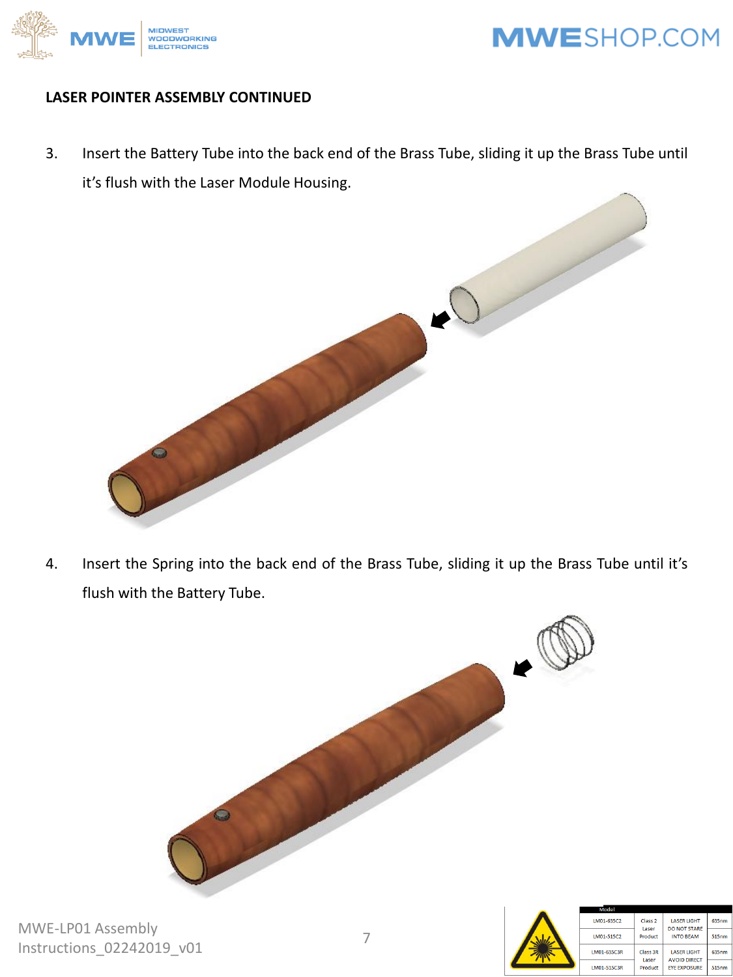

#### **LASER POINTER ASSEMBLY CONTINUED**

3. Insert the Battery Tube into the back end of the Brass Tube, sliding it up the Brass Tube until it's flush with the Laser Module Housing.



4. Insert the Spring into the back end of the Brass Tube, sliding it up the Brass Tube until it's flush with the Battery Tube.



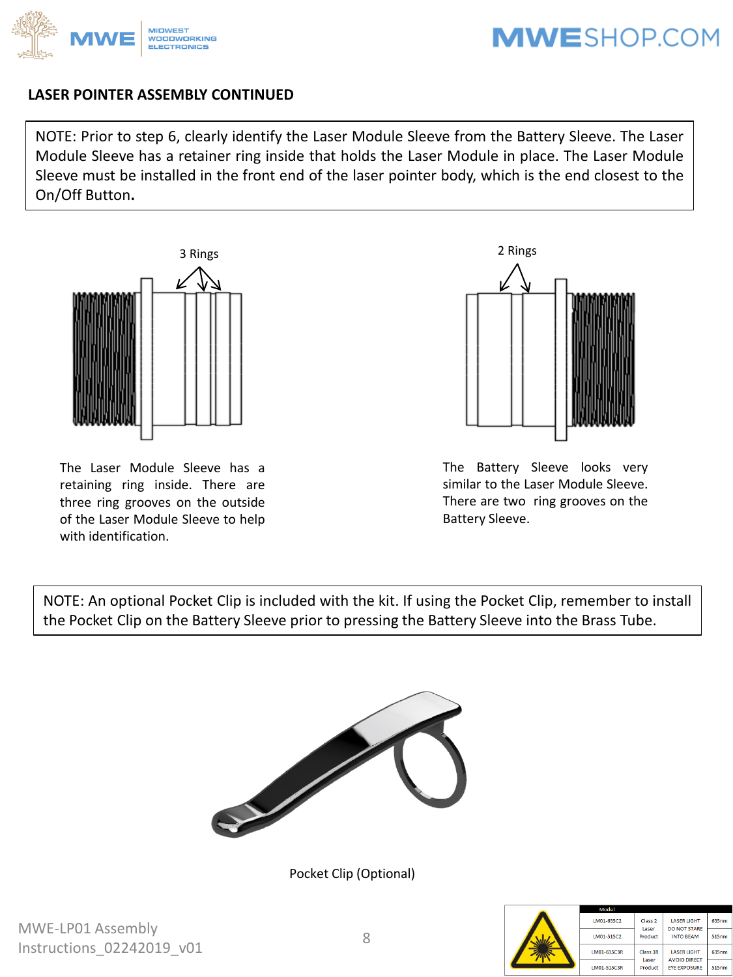

#### **LASER POINTER ASSEMBLY CONTINUED**

NOTE: Prior to step 6, clearly identify the Laser Module Sleeve from the Battery Sleeve. The Laser Module Sleeve has a retainer ring inside that holds the Laser Module in place. The Laser Module Sleeve must be installed in the front end of the laser pointer body, which is the end closest to the On/Off Button**.**



The Laser Module Sleeve has a retaining ring inside. There are three ring grooves on the outside of the Laser Module Sleeve to help with identification.



The Battery Sleeve looks very similar to the Laser Module Sleeve. There are two ring grooves on the Battery Sleeve.

NOTE: An optional Pocket Clip is included with the kit. If using the Pocket Clip, remember to install the Pocket Clip on the Battery Sleeve prior to pressing the Battery Sleeve into the Brass Tube.



Pocket Clip (Optional)

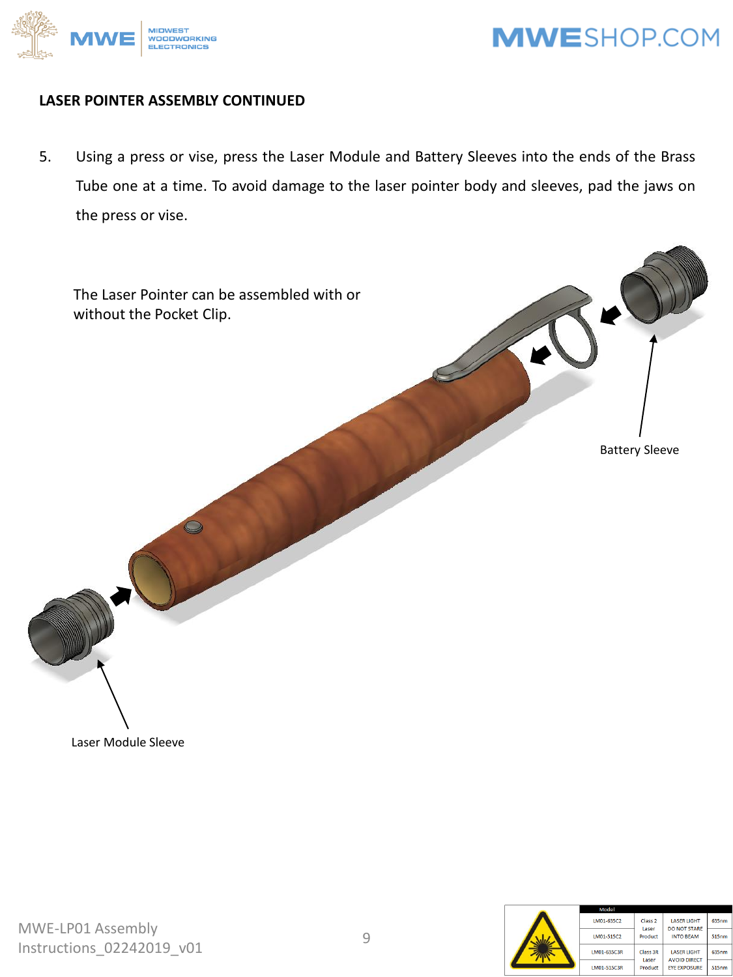

#### **LASER POINTER ASSEMBLY CONTINUED**

5. Using a press or vise, press the Laser Module and Battery Sleeves into the ends of the Brass Tube one at a time. To avoid damage to the laser pointer body and sleeves, pad the jaws on the press or vise.



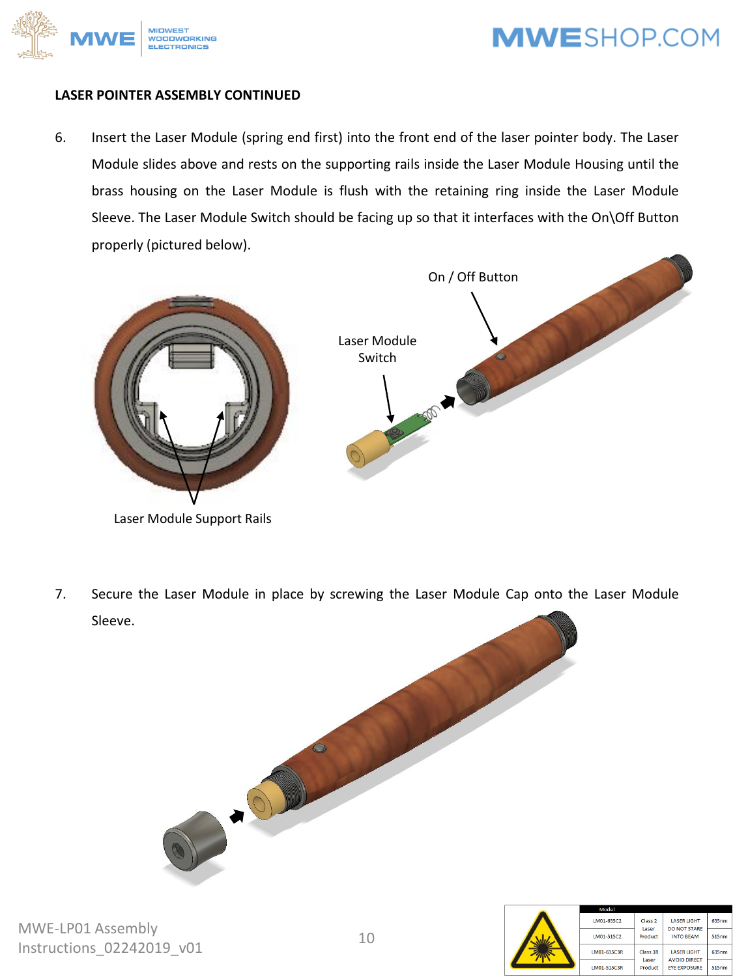

#### **LASER POINTER ASSEMBLY CONTINUED**

6. Insert the Laser Module (spring end first) into the front end of the laser pointer body. The Laser Module slides above and rests on the supporting rails inside the Laser Module Housing until the brass housing on the Laser Module is flush with the retaining ring inside the Laser Module Sleeve. The Laser Module Switch should be facing up so that it interfaces with the On\Off Button properly (pictured below).



Laser Module Support Rails

7. Secure the Laser Module in place by screwing the Laser Module Cap onto the Laser Module Sleeve.



635nm

 $515nm$ 

635nm

515nm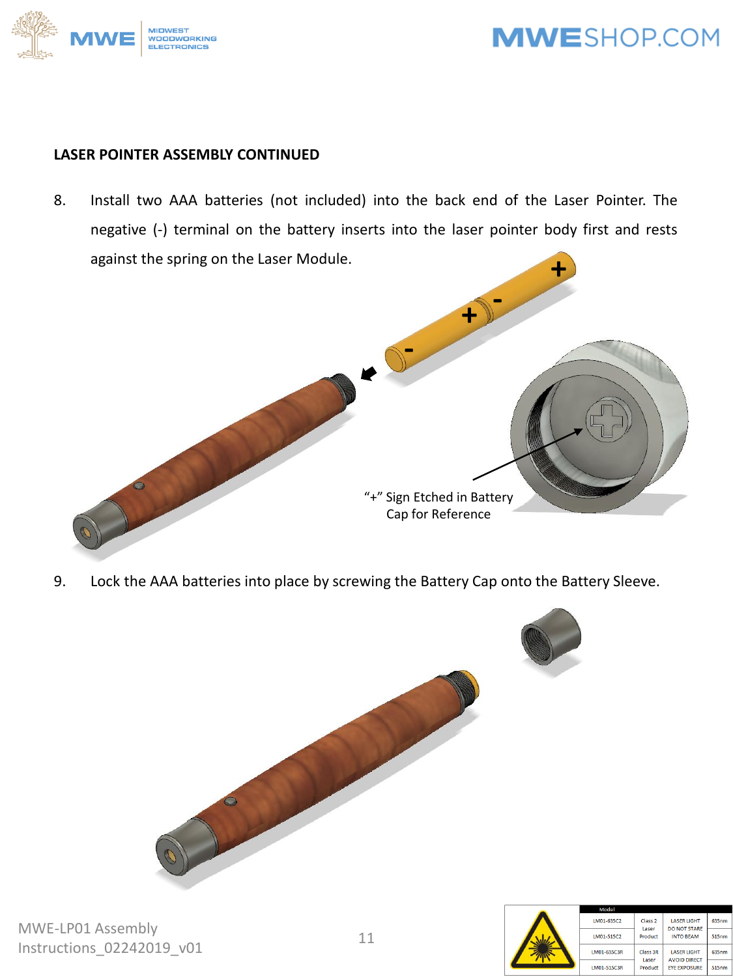

#### **LASER POINTER ASSEMBLY CONTINUED**

8. Install two AAA batteries (not included) into the back end of the Laser Pointer. The negative (-) terminal on the battery inserts into the laser pointer body first and rests against the spring on the Laser Module.



9. Lock the AAA batteries into place by screwing the Battery Cap onto the Battery Sleeve.